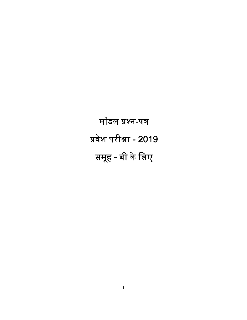मॉडल प्रश्न-पत्र प्रवेश परीक्षा - 2019 समूह - बी के िलए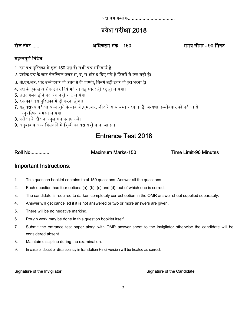# प्रवेश परीक्षा 2018

रोल नंबर ..... अिधकतम अक ं – 150 समय सीमा - 90 िमनट

#### महत्वपूर्ण निर्देश

- 1. इस प्रश्न पुस्तिका में कुल 150 प्रश्न हैं। सभी प्रश्न अनिवार्य हैं।
- 2. प्रत्येक प्रश्न के चार वैकल्पिक उत्तर अ, ब, स और द दिए गये हैं जिनमें से एक सही है।
- 3. ओ.एम.आर. शीट उम्मीदवार को अलग से दी जाएगी, जिसमें सही उत्तर को पूरा भरना है।
- 4. प्रश्न के एक से अधिक उत्तर दिये गये तो वह स्वतः ही रद्द हो जाएगा।
- 5. उᱫर गलत होने पर अंक नहᱭ काटे जाएंगे।
- 6. रफ कार्य इस पुस्तिका में ही करना होगा।
- 7. यह प्रश्नपत्र परीक्षा खत्म होने के बाद ओ.एम.आर. शीट के साथ जमा करवाना है। अन्यथा उम्मीदवार को परीक्षा से अनुपिस्थत समझा जाएगा।
- 8. परीक्षा के दौरान अनुशासन बनाए रखें।
- 9. अनुवाद व अन्य विसंगति में हिन्दी का प्रश्न सही माना जाएगा।

# Entrance Test 2018

Roll No.............. Maximum Marks-150 Time Limit-90 Minutes

### Important Instructions:

- 1. This question booklet contains total 150 questions. Answer all the questions.
- 2. Each question has four options (a), (b), (c) and (d), out of which one is correct.
- 3. The candidate is required to darken completely correct option in the OMR answer sheet supplied separately.
- 4. Answer will get cancelled if it is not answered or two or more answers are given.
- 5. There will be no negative marking.
- 6. Rough work may be done in this question booklet itself.
- 7. Submit the entrance test paper along with OMR answer sheet to the invigilator otherwise the candidate will be considered absent.
- 8. Maintain discipline during the examination.
- 9. In case of doubt or discrepancy in translation Hindi version will be treated as correct.

#### Signature of the Invigilator Signature of the Candidate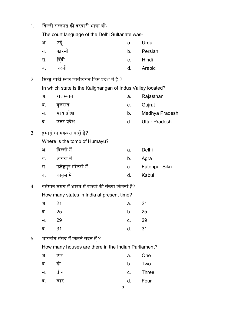1. िदल्ली सल्तनत की दरबारी भाषा थी-

The court language of the Delhi Sultanate was-

| अ. | उर्द     | а. | Urdu       |
|----|----------|----|------------|
| ब. | फारसा    |    | b. Persian |
|    | स. हिंदी |    | c. Hindi   |
| द. | अरबा     | d. | Arabic     |

- 2. सिन्धु घाटी स्थल कालीबंगन किस प्रदेश में है ? In which state is the Kalighangan of Indus Valley located? अ. राजस्थान a. Rajasthan ब. गुजरात c. Gujrat स. मध्य प्रदेश का कारण b. Madhya Pradesh द. उत्तर प्रदेश कर बाद बाद प्रशासक विकास करते हैं। प्रशासक विकास करते हैं कि साथ प्रशासक विकास करते हैं। यह अध 3. हुमायूं का मकबरा कहाँ है? Where is the tomb of Humayu? अ. दिल्ली में लिखा a. Delhi ब. आगरा में <u>b. Agra</u> स. फतेहपुर सीकरी म c. Fatehpur ᱶ Sikri द. काबुल में लिए काबुल के बाद what are the set of the set of the set of the set of the set of the set of the s 4. वर्तमान समय में भारत में राज्यों की संख्या कितनी है? How many states in India at present time? अ. 21 a. 21 ब. 25 b. 25 स. 29 c. 29 द. 31 d. 31
- 5. भारतीय संसद में कितने सदन हैं ?

How many houses are there in the Indian Parliament?

|    | अ. एक  |  | a. One   |
|----|--------|--|----------|
| ब. | - दो   |  | b. Two   |
|    | स. तीन |  | c. Three |
| द. | चार    |  | d. Four  |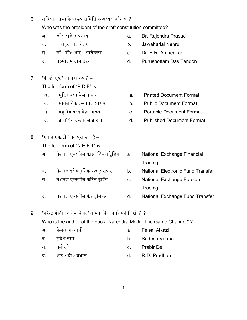6. संविधान सभा के प्रारूप समिति के अध्यक्ष कौन थे ?

Who was the president of the draft constitution committee?

- अ. डॉ० राजेन्दर् पर्साद a. Dr. Rajendra Prasad
- ब. जवाहर लाल नेहरु b. Jawaharlal Nehru
- स. डॉ० बी० आर० अम्बेडकर c. Dr. B.R. Ambedkar
- 
- 7. "पी डी एफ" का पूरा रूप है The full form of "P  $\overline{D}$  F" is  $-$ 
	- अ. मुद्रित दस्तावेज़ प्रारूप
	- ब. सावर्जिनक दस्तावेज़ पर्ारूप
	- स. वहनीय दस्तावेज़ स्वरूप
	- द. प्रकाशित दस्तावेज़ प्रारूप
- 8. "एन.ई.एफ.टी." का पूरा रूप है The full form of "N  $F F T$ " is  $-$ 
	- अ. नेशनल एक्सचेंज फाइनेंशियल टेडिंग a . National Exchange Financial
	-
	- स. नेशनल एक्सचेंज फॉरेन ट्रेडिंग National Exchange Foreign
	- द. नेशनल एक्सचेंज फंड ट्रांसफर d. National Exchange Fund Transfer
- 9. "नरेन्द्र मोदी : द गेम चेंजर" नामक किताब किसने लिखी है ?

Who is the author of the book "Narendra Modi : The Game Changer" ?

- अ. फैज़ल अल्काजी a . Feisal Alkazi
- 
- 
- द. आर० डी० पर्धान d. R.D. Pradhan
- 
- 
- 
- द. पुरुषोᱫम दास टंडन d. Purushottam Das Tandon
	- a. Printed Document Format
	- b. Public Document Format
	- c. Portable Document Format
	- d. Published Document Format
	- **Trading**
- ब. नेशनल इलेक्टर्ॉिनक फंड टर्ांसफर b. National Electronic Fund Transfer
	- **Trading**
	-

- ब. सुदश वमा े र् b. Sudesh Verma
- स. पर्बीर द े c. Prabir De
	-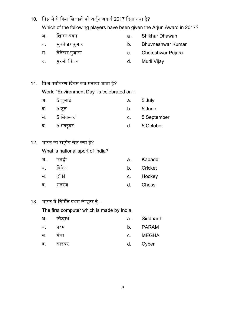10. निम्न में से किस खिलाड़ी को अर्जुन अवार्ड 2017 दिया गया है?

Which of the following players have been given the Arjun Award in 2017?

- अ. िशखर धवन a . Shikhar Dhawan
- ब. भुवने᳡र कुमार b. Bhuvneshwar Kumar
- स. चेते᳡र पुजारा c. Cheteshwar Pujara
- द. मुरली िवजय d. Murli Vijay
- 11. विश्व पर्यावरण दिवस कब मनाया जाता है?

World "Environment Day" is celebrated on –

- अ. 5 जुलाई a. 5 July
- ब. 5 जून b. 5 June
- स. 5 िसतम्बर c. 5 September
- द. 5 अक्टूबर d. 5 October
- 12. भारत का राष्ट्रीय खेल क्या है? What is national sport of India?

| अ. | कबड़ा   | а. | Kabaddi    |
|----|---------|----|------------|
| ब. | क्रिकेट |    | b. Cricket |
|    | स. हॉकी |    | c. Hockey  |
| द. | शतरंज   | d. | Chess      |

#### 13. भारत में निर्मित प्रथम कंप्यूटर है –

The first computer which is made by India.

 अ. िसाथर् a . Siddharth ब. परम b. PARAM स. मेघा c. MEGHA द. साइबर d. Cyber

- 
- 
- 
-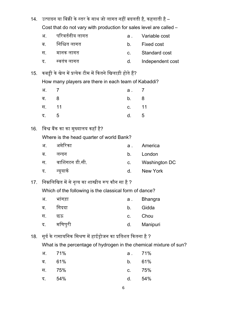| 14. | उत्पादन या बिक्री के स्तर के साथ जो लागत नहीं बदलती है, कहलाती है – |                                                                    |         |                      |
|-----|---------------------------------------------------------------------|--------------------------------------------------------------------|---------|----------------------|
|     |                                                                     | Cost that do not vary with production for sales level are called - |         |                      |
|     | अ.                                                                  | परिवर्तनीय लागत                                                    | $a$ .   | Variable cost        |
|     | ब.                                                                  | निश्चित लागत                                                       | b.      | <b>Fixed cost</b>    |
|     | स. ज                                                                | मानक लागत                                                          | C.      | Standard cost        |
|     | <b>द.</b>                                                           | स्वतंत्र लागत                                                      | d. l    | Independent cost     |
| 15. |                                                                     | कबड्डी के खेल में प्रत्येक टीम में कितने खिलाड़ी होते हैं?         |         |                      |
|     |                                                                     | How many players are there in each team of Kabaddi?                |         |                      |
|     | अ.                                                                  | 7                                                                  | а.      | 7                    |
|     | 8 <sup>8</sup><br>ब.                                                |                                                                    | b.      | 8                    |
|     | स. 11                                                               |                                                                    | $c.$ 11 |                      |
|     | द.                                                                  | 5                                                                  | d.      | 5                    |
| 16. |                                                                     | विश्व बैंक का का मुख्यालय कहाँ है?                                 |         |                      |
|     | Where is the head quarter of world Bank?                            |                                                                    |         |                      |
|     | अ.                                                                  | अमेरिका                                                            | а.      | America              |
|     |                                                                     | ब. लन्दन                                                           | b.      | London               |
|     |                                                                     | स. वाशिंगटन डी.सी.                                                 | C.      | <b>Washington DC</b> |
|     |                                                                     | द. न्यूयार्क                                                       | d.      | <b>New York</b>      |
| 17. |                                                                     | निम्नलिखित में से नृत्य का शास्त्रीय रूप कौन सा है ?               |         |                      |
|     |                                                                     | Which of the following is the classical form of dance?             |         |                      |
|     | अ.                                                                  | भांगड़ा                                                            | а.      | <b>Bhangra</b>       |
|     | ब.                                                                  | गिददा                                                              | b.      | Gidda                |
|     | स.                                                                  | छऊ                                                                 | C.      | Chou                 |
|     | द.                                                                  | मणिपुरी                                                            | d.      | Manipuri             |
| 18. |                                                                     | सूर्य के रासायनिक मिश्रण में हाईड्रोजन का प्रतिशत कितना है ?       |         |                      |
|     |                                                                     | What is the percentage of hydrogen in the chemical mixture of sun? |         |                      |
|     | अ.                                                                  | 71%                                                                | a.      | 71%                  |
|     | ब.                                                                  | 61%                                                                | b.      | 61%                  |
|     | स.                                                                  | 75%                                                                | C.      | 75%                  |
|     | द.                                                                  | 54%                                                                | d.      | 54%                  |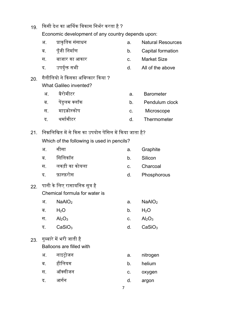| किसी देश का आर्थिक विकास निर्भर करता है ?<br>19. |    |                                                         |             |                                |
|--------------------------------------------------|----|---------------------------------------------------------|-------------|--------------------------------|
|                                                  |    | Economic development of any country depends upon:       |             |                                |
|                                                  | अ. | प्राकृतिक संसाधन                                        | a.          | <b>Natural Resources</b>       |
|                                                  | ब. | पूँजी निर्माण                                           | b.          | Capital formation              |
|                                                  | स. | बाजार का आकार                                           | $C_{\cdot}$ | <b>Market Size</b>             |
|                                                  |    | द. उपर्युक्त सभी                                        | d.          | All of the above               |
| 20.                                              |    | गैलीलियो ने किसका अविष्कार किया ?                       |             |                                |
|                                                  |    | <b>What Galileo invented?</b>                           |             |                                |
|                                                  | अ. | बैरोमीटर                                                | a.          | <b>Barometer</b>               |
|                                                  | ब. | पेंडुलम क्लॉक                                           | b.          | Pendulum clock                 |
|                                                  |    | स. माइक्रोस्कोप                                         | c.          | Microscope                     |
|                                                  | द. | थर्मामीटर                                               | d.          | Thermometer                    |
| 21.                                              |    | निम्नलिखित में से किस का उपयोग पेंसिल में किया जाता है? |             |                                |
| Which of the following is used in pencils?       |    |                                                         |             |                                |
|                                                  | अ. | सीसा                                                    | a.          | Graphite                       |
|                                                  | ब. | सिलिकॉन                                                 | b.          | Silicon                        |
|                                                  |    | स. लकड़ी का कोयला                                       | $C_{\rm L}$ | Charcoal                       |
|                                                  | द. | फ़ास्फ़रोस                                              | d.          | Phosphorous                    |
| 22.                                              |    | पानी के लिए रासायनिक सूत्र है                           |             |                                |
|                                                  |    | Chemical formula for water is                           |             |                                |
|                                                  | अ. | NaAlO <sub>2</sub>                                      | а.          | NaAlO <sub>2</sub>             |
|                                                  | ब. | H <sub>2</sub> O                                        | b.          | H <sub>2</sub> O               |
|                                                  | स. | Al <sub>2</sub> O <sub>3</sub>                          | C.          | Al <sub>2</sub> O <sub>3</sub> |
|                                                  | द. | CaSiO <sub>3</sub>                                      | d.          | CaSiO <sub>3</sub>             |
| 23.                                              |    | गुब्बारे में भरी जाती है                                |             |                                |
|                                                  |    | Balloons are filled with                                |             |                                |
|                                                  | अ. | नाइट्रोजन                                               | a.          | nitrogen                       |
|                                                  | ब. | हीलियम                                                  | b.          | helium                         |
|                                                  | स. | ऑक्सीजन                                                 | C.          | oxygen                         |
|                                                  | द. | आर्गन                                                   | d.          | argon                          |
|                                                  |    |                                                         | 7           |                                |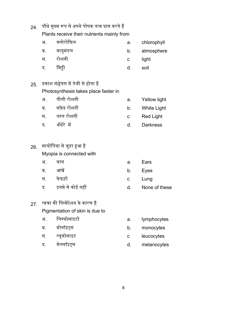24. पौधे मुख्य रूप से अपने पोषक तत्व प्राप्त करते हैं

Plants receive their nutrients mainly from

- अ. क्लोरोिफल a. chlorophyll
- ब. वायुमंडल b. atmosphere
- स. रोशनी c light
- द. मिट्टी d. soil

## 25. प्रकाश संश्लेषण में तेजी से होता है Photosynthesis takes place faster in

- अ. पीली रोशनी a. Yellow light
- ब. सफ़ेद रोशनी b. White Light
- स. लाल रोशनी c Red Light
- द. अँधेरे में लिए d. Darkness

# 26. मायोिपया सेजुड़ा हुआ है

Myopia is connected with

- अ. कान a. Ears
	- ब. आंखें <u>b.</u> Eyes
- स. फेफड़ᲂ c Lung
	- द. इनमे से कोई नहीं <u>कारका स</u>ारक d. None of these

# 27. त्वचा की पिग्मेंटेशन के कारण है

Pigmentation of skin is due to

- 
- 
- स. ल्यूकोसाइट c leucocytes
- 
- 
- 
- 
- 
- 
- अ. लिम्फोसाइटों a. lymphocytes
- ब. मोनॉइट्स b. monocytes
	-
- द. मेलनॉइट्स d. melanocytes
- 
- 
- 
-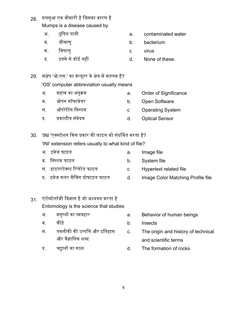28. गलसुआ एक बीमारी हैिजसका कारण है

Mumps is a disease caused by

- अ. दिषत पानी ू a. contaminated water
- ब. जीवाण ु
- स. विषाणु
- द. इनमे से कोई नहीं
- 29. संक्षेप 'ओ.एस.' का कंप्यूटर के क्षेत्र में मतलब है?

'OS' computer abbreviation usually means

- अ. महत्व का अनुकर्म a. Order of Significance
- ब. ओपन सॉफ्टवेयर b. Open Software
- स. ऑपरेटिंग सिस्टम comperating System
- द. पर्काशीय संवेदक d. Optical Sensor

30. INI 'एक्सटेंशन किस प्रकार की फाइल को संदर्भित करता है?

'INI' extension refers usually to what kind of file?

- अ. इमज फाइल े a. Image file
- ब. िसस्टम फाइल b. System file
- स. हाइपरटेक्स्ट िरलेटेड फाइल c Hypertext related file
- द. इमेज कलर मैचिंग प्रोफाइल फाइल d. Image Color Matching Profile file

#### 31. एंटोमोलॉजी िवज्ञान हैजो अध्ययन करता है

Entomology is the science that studies

- अ. मनुष्यों का व्यवहार a. Behavior of human beings
- ब. कीड़े b. Insects
- स. तकनीकी की उत्पत्ति और इतिहास और वैज्ञािनक शब्द
- 
- 
- 
- c. The origin and history of technical and scientific terms
- द. चट्टानों का गठन d. The formation of rocks
- 
- b. bacterium
- c virus
- d. None of these.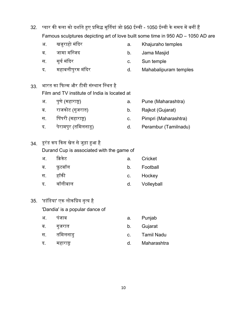- 32. प्यार की कला को दर्शाते हुए प्रसिद्ध मूर्तियां जो 950 ईस्वी 1050 ईस्वी के समय में बनीं हैं Famous sculptures depicting art of love built some time in 950 AD – 1050 AD are
	- अ. खजुराहो मंिदर a. Khajuraho temples
	- ब. जामा मिस्जद b. Jama Masjid
	- स. सूयर् मंिदर c. Sun temple
	- द. महाबलीपुरम मंिदर d. Mahabalipuram temples
- 33. भारत का िफल्म और टीवी संस्थान िस्थत है Film and TV institute of India is located at
	- अ. पुणे (महारा᳦) a. Pune (Maharashtra)
	- ब. राजकोट (गुजरात) b. Rajkot (Gujarat)
	- स. पिंपरी (महाराष्ट्र) c. Pimpri (Maharashtra)
	- द. पेरामपुर (तिमलनाडु) d. Perambur (Tamilnadu)
- 34. डूरंड कप िकस खेल सेजुड़ा हुआ है Durand Cup is associated with the game of
	- अ. िकर्केट a. Cricket ब. फ़ुटबॉल b. Football स. हॉकी c. Hockey द. वॉलीबाल d. Volleyball
- 35. 'डांिडया' एक लोकिपर्य नृत्य है

'Dandia' is a popular dance of

- अ. पंजाब a. Punjab
- ब. गुजरात b. Gujarat
- 
- 
- 
- 
- स. तिमलनाडु c. Tamil Nadu
- द. महाराष्ट्र व. Maharashtra
- 
- -
	-
- 
-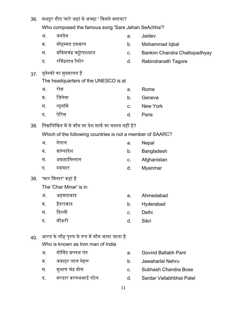| 36. |                                                            | मशहूर गीत 'सारे जहां से अच्छा ' किसने बनाया?         |    |                              |
|-----|------------------------------------------------------------|------------------------------------------------------|----|------------------------------|
|     |                                                            | Who composed the famous song 'Sare Jahan SeAchha'?   |    |                              |
|     | अ.                                                         | जयदेव                                                | a. | Jaidev                       |
|     | ब.                                                         | मोहम्मद इकबाल                                        | b. | Mohammad Iqbal               |
|     |                                                            | स. बंकिमचंद्र चट्टोपाध्याय                           | C. | Bankim Chandra Chattopadhyay |
|     | <b>द.</b>                                                  | रविंद्रनाथ टैगोर                                     | d. | Rabindranath Tagore          |
| 37. |                                                            | यूनेस्को का मुख्यालय है                              |    |                              |
|     |                                                            | The headquarters of the UNESCO is at                 |    |                              |
|     | अ.                                                         | रोम                                                  | a. | Rome                         |
|     | ब. ज                                                       | जिनेवा                                               | b. | Geneva                       |
|     |                                                            | स. न्यूयॉर्क                                         | C. | <b>New York</b>              |
|     | द.                                                         | पेरिस                                                | d. | Paris                        |
| 38. |                                                            | निम्नलिखित में से कौन सा देश सार्क का सदस्य नहीं है? |    |                              |
|     | Which of the following countries is not a member of SAARC? |                                                      |    |                              |
|     | अ.                                                         | नेपाल                                                | a. | <b>Nepal</b>                 |
|     | ब. ज                                                       | बांग्लादेश                                           | b. | Bangladesh                   |
|     |                                                            | स. अफ़ग़ानिस्तान                                     | C. | Afghanistan                  |
|     | द.                                                         | म्यांमार                                             | d. | Myanmar                      |
|     |                                                            | 39. 'चार मिनार' कहां है                              |    |                              |
|     |                                                            | The 'Char Minar' is in                               |    |                              |
|     | अ.                                                         | अहमदाबाद                                             | а. | Ahmedabad                    |
|     | ब.                                                         | हैदराबाद                                             | b. | Hyderabad                    |
|     | स.                                                         | दिल्ली                                               | C. | Delhi                        |
|     | द.                                                         | सीकरी                                                | d. | Sikri                        |
|     |                                                            |                                                      |    |                              |
| 40. |                                                            | भारत के लौह पुरुष के रूप में कौन जाना जाता है        |    |                              |
|     |                                                            | Who is known as Iron man of India                    |    |                              |
|     | अ.                                                         | गोविंद बल्लभ पंत                                     | a. | <b>Govind Ballabh Pant</b>   |

- ब. जवाहर लाल नेहरू b. Jawaharlal Nehru
- स. सुभाष चंद्र बोस c. Subhash Chandra Bose
- द. सरदार वल्लभभाई पटेल d. Sardar Vallabhbhai Patel
- 
- 
- -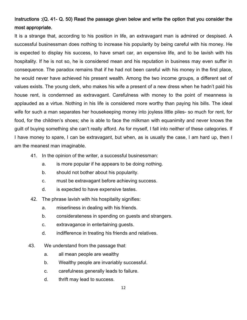#### Instructions :(Q. 41- Q. 50) Read the passage given below and write the option that you consider the most appropriate.

It is a strange that, according to his position in life, an extravagant man is admired or despised. A successful businessman does nothing to increase his popularity by being careful with his money. He is expected to display his success, to have smart car, an expensive life, and to be lavish with his hospitality. If he is not so, he is considered mean and his reputation in business may even suffer in consequence. The paradox remains that if he had not been careful with his money in the first place, he would never have achieved his present wealth. Among the two income groups, a different set of values exists. The young clerk, who makes his wife a present of a new dress when he hadn't paid his house rent, is condemned as extravagant. Carefulness with money to the point of meanness is applauded as a virtue. Nothing in his life is considered more worthy than paying his bills. The ideal wife for such a man separates her housekeeping money into joyless little piles- so much for rent, for food, for the children's shoes; she is able to face the milkman with equanimity and never knows the guilt of buying something she can't really afford. As for myself, I fall into neither of these categories. If I have money to spare, I can be extravagant, but when, as is usually the case, I am hard up, then I am the meanest man imaginable.

- 41. In the opinion of the writer, a successful businessman:
	- a. is more popular if he appears to be doing nothing.
	- b. should not bother about his popularity.
	- c. must be extravagant before achieving success.
	- d. is expected to have expensive tastes.
- 42. The phrase lavish with his hospitality signifies:
	- a. miserliness in dealing with his friends.
	- b. considerateness in spending on guests and strangers.
	- c. extravagance in entertaining guests.
	- d. indifference in treating his friends and relatives.
- 43. We understand from the passage that:
	- a. all mean people are wealthy
	- b. Wealthy people are invariably successful.
	- c. carefulness generally leads to failure.
	- d. thrift may lead to success.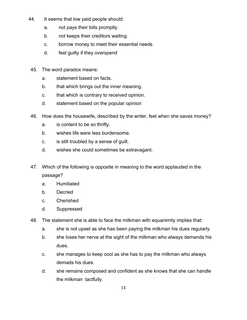- 44. It seems that low paid people should:
	- a. not pays their bills promptly.
	- b. not keeps their creditors waiting.
	- c. borrow money to meet their essential needs
	- d. feel guilty if they overspend
- 45. The word paradox means:
	- a. statement based on facts.
	- b. that which brings out the inner meaning.
	- c. that which is contrary to received opinion.
	- d. statement based on the popular opinion
- 46. How does the housewife, described by the writer, feel when she saves money?
	- a. is content to be so thrifty.
	- b. wishes life were less burdensome.
	- c. is still troubled by a sense of guilt.
	- d. wishes she could sometimes be extravagant.
- 47. Which of the following is opposite in meaning to the word applauded in the passage?
	- a. Humiliated
	- b. Decried
	- c. Cherished
	- d. Suppressed
- 48. The statement she is able to face the milkman with equanimity implies that:
	- a. she is not upset as she has been paying the milkman his dues regularly.
	- b. she loses her nerve at the sight of the milkman who always demands his dues.
	- c. she manages to keep cool as she has to pay the milkman who always demads his dues.
	- d. she remains composed and confident as she knows that she can handle the milkman tactfully.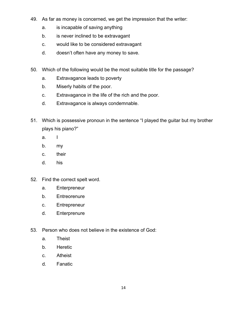- 49. As far as money is concerned, we get the impression that the writer:
	- a. is incapable of saving anything
	- b. is never inclined to be extravagant
	- c. would like to be considered extravagant
	- d. doesn't often have any money to save.
- 50. Which of the following would be the most suitable title for the passage?
	- a. Extravagance leads to poverty
	- b. Miserly habits of the poor.
	- c. Extravagance in the life of the rich and the poor.
	- d. Extravagance is always condemnable.
- 51. Which is possessive pronoun in the sentence "I played the guitar but my brother plays his piano?"
	- a. I
	- b. my
	- c. their
	- d. his
- 52. Find the correct spelt word.
	- a. Enterpreneur
	- b. Entreorenure
	- c. Entrepreneur
	- d. Enterprenure
- 53. Person who does not believe in the existence of God:
	- a. Theist
	- b. Heretic
	- c. Atheist
	- d. Fanatic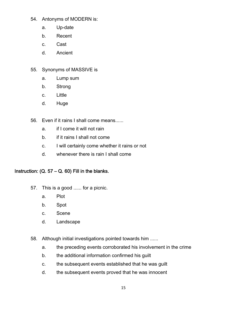- 54. Antonyms of MODERN is:
	- a. Up-date
	- b. Recent
	- c. Cast
	- d. Ancient
- 55. Synonyms of MASSIVE is
	- a. Lump sum
	- b. Strong
	- c. Little
	- d. Huge
- 56. Even if it rains I shall come means......
	- a. if I come it will not rain
	- b. if it rains I shall not come
	- c. I will certainly come whether it rains or not
	- d. whenever there is rain I shall come

#### Instruction:  $(Q. 57 - Q. 60)$  Fill in the blanks.

- 57. This is a good ...... for a picnic.
	- a. Plot
	- b. Spot
	- c. Scene
	- d. Landscape
- 58. Although initial investigations pointed towards him ......
	- a. the preceding events corroborated his involvement in the crime
	- b. the additional information confirmed his guilt
	- c. the subsequent events established that he was guilt
	- d. the subsequent events proved that he was innocent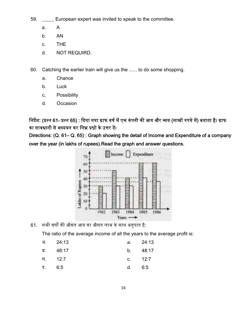- 59. \_\_\_\_\_ European expert was invited to speak to the committee.
	- a. A
	- b. AN
	- c. THE
	- d. NOT REQUIRD.
- 60. Catching the earlier train will give us the ...... to do some shopping.
	- a. Chance
	- b. Luck
	- c. Possibility
	- d. Occasion

निर्देश: (प्रश्न 61- प्रश्न 65) : दिया गया ग्राफ वर्ष में एक कंपनी की आय और व्यय (लाखों रुपये में) बताता है। ग्राफ का सावधानी से अध्ययन कर निम्न प्रश्नो के उत्तर दें।

Directions: (Q. 61– Q. 65) : Graph showing the detail of Income and Expenditure of a company over the year (in lakhs of rupees).Read the graph and answer questions.



61. सभी वर्षों की औसत आय का औसत लाभ के साथ अनुपात है:

The ratio of the average income of all the years to the average profit is:

|         | अ. 24:13 |           | a. 24:13   |
|---------|----------|-----------|------------|
|         | ब. 48:17 |           | b. $48:17$ |
| स. 12:7 |          | c. $12:7$ |            |
| द.      | 6:5      | d.        | 6:5        |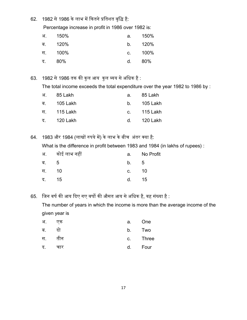62. 1982 से 1986 के लाभ में कितने प्रतिशत वृद्धि है:

Percentage increase in profit in 1986 over 1982 is:

| अ. | 150% | а.             | 150% |
|----|------|----------------|------|
| ब. | 120% | $b_{-}$        | 120% |
| स. | 100% | C <sub>1</sub> | 100% |
| द. | 80%  | d.             | 80%  |

63. 1982 से 1986 तक की कुल आय कुल व्यय से अधिक है :

The total income exceeds the total expenditure over the year 1982 to 1986 by :

|  | अ 85 Lakh   | а. | 85 Lakh     |
|--|-------------|----|-------------|
|  | ब. 105 Lakh |    | b. 105 Lakh |
|  | स. 115 Lakh |    | c. 115 Lakh |
|  | द 120 Lakh  |    | d. 120 Lakh |

64. 1983 और 1984 (लाखों रुपये में) के लाभ के बीच अंतर क्या है:

What is the difference in profit between 1983 and 1984 (in lakhs of rupees) :

|       | अ. कोई लाभ नहीं |         | a. No Profit |
|-------|-----------------|---------|--------------|
| ब. ५  |                 | b. 5    |              |
| स. 10 |                 | c. $10$ |              |
| द. 15 |                 | d. 15   |              |

65. जिन वर्ष की आय दिए गए वर्षो की औसत आय से अधिक है, वह संख्या है :

The number of years in which the income is more than the average income of the given year is

|    | अ. एक     |      | a. One   |
|----|-----------|------|----------|
| ब. | <u>दो</u> |      | b. Two   |
|    | स. तीन    |      | c. Three |
| द. | चार       | d. I | Four     |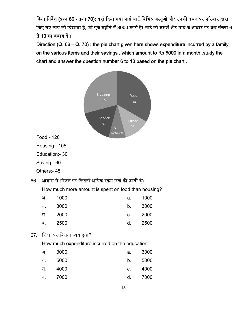दिशा निर्देश (प्रश्न 66 - प्रश्न 70): यहां दिया गया पाई चार्ट विभिन्न वस्तुओं और उनकी बचत पर परिवार द्वारा किए गए व्यय को दिखाता है, जो एक महीने में 8000 रुपये है। चार्ट को समझें और पाई के आधार पर प्रश्न संख्या 6 से 10 का जवाब दें ।

Direction (Q. 66 – Q. 70) : the pie chart given here shows expenditure incurred by a family on the various items and their savings , which amount to Rs 8000 in a month .study the chart and answer the question number 6 to 10 based on the pie chart .



द. 2500 d. 2500

#### 67. िशक्षा पर िकतना ᳞य हुआ?

How much expenditure incurred on the education

| अ. | 3000 | а.      | 3000 |
|----|------|---------|------|
| ब. | 5000 | b.      | 5000 |
| स. | 4000 | $C_{1}$ | 4000 |
| द. | 7000 | d.      | 7000 |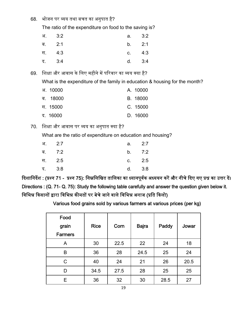68. भोजन पर व्यय तथा बचत का अनुपात है?

The ratio of the expenditure on food to the saving is?

|        | अ. 3:2   |    | a. $3:2$ |
|--------|----------|----|----------|
| ब. 2:1 |          |    | b. $2:1$ |
|        | स. 4:3   |    | c. $4:3$ |
|        | द. $3:4$ | d. | 3:4      |

69. शिक्षा और आवास के लिए महीने में परिवार का व्यय क्या है?

What is the expenditure of the family in education & housing for the month?

| अ. 10000 | A. 10000 |
|----------|----------|
| ब. 18000 | B. 18000 |
| स. 15000 | C. 15000 |
| द. 16000 | D. 16000 |

70. शिक्षा और आवास पर व्यय का अनुपात क्या है?

What are the ratio of expenditure on education and housing?

| अ. 2:7 |  | a. $2:7$ |
|--------|--|----------|
| ब. 7:2 |  | b. $7:2$ |
| स. 2:5 |  | c. $2:5$ |
| द. 3:8 |  | d. 3:8   |

दिशानिर्देश : (प्रश्न 71 - प्रश्न 75): निम्नलिखित तालिका का ध्यानपूर्वक अध्ययन करें और नीचे दिए गए प्रश्न का उत्तर दें। Directions : (Q. 71- Q. 75): Study the following table carefully and answer the question given below it. विभिन्न किसानों द्वारा विभिन्न कीमतों पर बेचे जाने वाले विभिन्न अनाज (प्रति किलो)

Various food grains sold by various farmers at various prices (per kg)

| Food<br>grain<br><b>Farmers</b> | <b>Rice</b> | Corn | <b>Bajra</b> | Paddy | Jowar |
|---------------------------------|-------------|------|--------------|-------|-------|
| A                               | 30          | 22.5 | 22           | 24    | 18    |
| B                               | 36          | 28   | 24.5         | 25    | 24    |
| C                               | 40          | 24   | 21           | 26    | 20.5  |
| D                               | 34.5        | 27.5 | 28           | 25    | 25    |
| E.                              | 36          | 32   | 30           | 28.5  | 27    |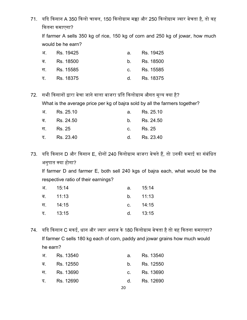71. यदि किसान A 350 किलो चावल, 150 किलोग्राम मक्का और 250 किलोग्राम ज्वार बेचता है, तो वह िकतना कमाएगा?

If farmer A sells 350 kg of rice, 150 kg of corn and 250 kg of jowar, how much would be he earn?

| अ | Rs. 19425           | a | Rs. 19425    |
|---|---------------------|---|--------------|
|   | ब. Rs. 18500        |   | b. Rs. 18500 |
|   | स Rs 15585          |   | c. Rs. 15585 |
|   | $\bar{s}$ Rs. 18375 |   | d. Rs. 18375 |

72. सभी किसानों द्वारा बेचा जाने वाला बाजरा प्रति किलोग्राम औसत मूल्य क्या है? What is the average price per kg of bajra sold by all the farmers together?

| अ. Rs. 25.10 | a. | Rs. 25.10      |
|--------------|----|----------------|
| ब. Rs. 24.50 |    | b. Rs. $24.50$ |
| स Rs. 25     |    | c. Rs. 25      |
| द Rs. 23.40  |    | d. Rs. $23.40$ |

73. यदि किसान D और किसान E, दोनों 240 किलोग्राम बाजरा बेचते हैं, तो उनकी कमाई का संबंधित अनुपात क्या होगा?

If farmer D and farmer E, both sell 240 kgs of bajra each, what would be the respective ratio of their earnings?

| अ. 15:14   | а. – | 15:14      |
|------------|------|------------|
| ब. 11:13   |      | b. $11:13$ |
| स. 14:15   |      | c. $14:15$ |
| द. $13:15$ |      | d. $13:15$ |

74. यदि किसान C मकई, धान और ज्वार अनाज के 180 किलोग्राम बेचता है तो वह कितना कमाएगा? If farmer C sells 180 kg each of corn, paddy and jowar grains how much would he earn?

| ब Rs. 12550      | b. Rs. 12550 |
|------------------|--------------|
| स Rs. 13690      | c. Rs. 13690 |
| Rs. 12690<br>ढ । | d. Rs. 12690 |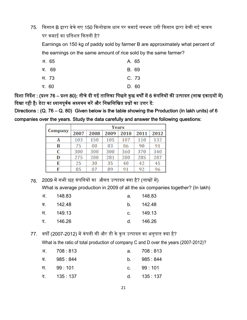75. किसान B द्वारा बेचे गए 150 किलोग्राम धान पर कमाई लगभग उसी किसान द्वारा बेची गई चावल पर कमाई का प्रतिशत कितनी है?

Earnings on 150 kg of paddy sold by farmer B are approximately what percent of the earnings on the same amount of rice sold by the same farmer?

| अ.65  | A. 65 |
|-------|-------|
| ब. 69 | B. 69 |
| स. 73 | C. 73 |
| द.60  | D. 60 |

दिशा निर्देश : (प्रश्न 76 – प्रश्न 80): नीचे दी गई तालिका पिछले कुछ वर्षों में 6 कंपनियों की उत्पादन (लाख इकाइयों में) दिखा रही है। डेटा का ध्यानपूर्वक अध्ययन करें और निम्नलिखित प्रश्नों का उत्तर दें:

Directions : (Q. 76 – Q. 80) Given below is the table showing the Production (in lakh units) of 6 companies over the years. Study the data carefully and answer the following questions:

|         | Years |      |      |      |      |      |
|---------|-------|------|------|------|------|------|
| Company | 2007  | 2008 | 2009 | 2010 | 2011 | 2012 |
|         | 103   | 150  | 105  | 107  | 110  | 132  |
| в       | 75    | 80   | 83   | 86   | 90   | 91   |
| C       | 300   | 300  | 300  | 360  | 370  | 340  |
| D       | 275   | 280  | 281  | 280  | 285  | 287  |
| E       | 25    | 30   | 35   | 40   | 42   | 45   |
|         | 85    | 87   | 89   | 91   | 92   | 96   |

76 2009 में सभी छह कंपनियों का औसत उत्पादन क्या है? (लाखों में)

What is average production in 2009 of all the six companies together? (In lakh)

| अ | 148.83    | а. | 148.83    |
|---|-----------|----|-----------|
|   | ब 142.48  | b. | 142.48    |
|   | स. 149.13 |    | c. 149.13 |
|   | द. 146.26 | d. | 146.26    |

77. वर्षों (2007-2012) में कंपनी सी और डी के कुल उत्पादन का अनुपात क्या है?

What is the ratio of total production of company C and D over the years (2007-2012)?

|  | अ 708:813           | а. –        | 708 : 813    |
|--|---------------------|-------------|--------------|
|  | ब. 985:844          | $b_{\rm m}$ | 985 : 844    |
|  | स 99:101            |             | c. $99:101$  |
|  | $\bar{c}$ , 135:137 |             | d. $135:137$ |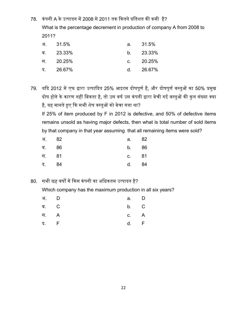78. कंपनी A के उत्पादन में 2008 से 2011 तक कितने प्रतिशत की कमी है?

What is the percentage decrement in production of company A from 2008 to 2011?

|     | अ. 31.5%  | a. $31.5\%$  |
|-----|-----------|--------------|
|     | ब 23.33%  | $b. 23.33\%$ |
|     | स. 20.25% | c. $20.25\%$ |
| ट - | 26.67%    | d. $26.67\%$ |

79. यदि 2012 में एफ द्वारा उत्पादित 25% आइटम दोषपूर्ण है, और दोषपूर्ण वस्तुओं का 50% प्रमुख दोष होने के कारण नहीं बिकता है, तो उस वर्ष उस कंपनी द्वारा बेची गई वस्तुओं की कुल संख्या क्या है, यह मानते हुए कि सभी शेष वस्तुओं को बेचा गया था?

If 25% of item produced by F in 2012 is defective, and 50% of defective items remains unsold as having major defects, then what is total number of sold items by that company in that year assuming that all remaining items were sold?

| अ. 82 |    | -82<br>а. — |
|-------|----|-------------|
| ब. 86 |    | b. 86       |
| स. 81 |    | c. 81       |
| द. 84 | d. | 84          |

80. सभी छह वर्षों में किस कंपनी का अधिकतम उत्पादन है?

Which company has the maximum production in all six years?

| अ. D | a. D |     |
|------|------|-----|
| ब. C | b. C |     |
| स. A | c. A |     |
| द. F | d.   | - F |
|      |      |     |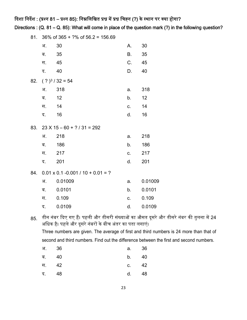दिशा निर्देश : (प्रश्न 81 – प्रश्न 85): निम्नलिखित प्रश्न में प्रश्न चिह्न (?) के स्थान पर क्या होगा?

Directions : (Q. 81 – Q. 85): What will come in place of the question mark (?) in the following question?

| 81. $36\%$ of 365 + ?% of 56.2 = 156.69 |
|-----------------------------------------|
|-----------------------------------------|

| अ. | 30                                            | А.    | 30    |
|----|-----------------------------------------------|-------|-------|
| ब. | 35                                            | В.    | 35    |
| स. | 45                                            | C. 45 |       |
| द. | 40                                            | D.    | 40    |
|    | 82. $( ? )3 / 32 = 54$                        |       |       |
| अ. | 318                                           | a.    | 318   |
| ब. | 12                                            | b.    | 12    |
| स. | 14                                            | C.    | 14    |
| द. | 16                                            | d.    | 16    |
|    | 83. $23 \times 15 - 60 + ? / 31 = 292$        |       |       |
| अ. | 218                                           | a.    | 218   |
| ब. | 186                                           | b.    | 186   |
| स. | 217                                           | C.    | 217   |
| द. | 201                                           | d.    | 201   |
|    | 84. $0.01 \times 0.1 - 0.001 / 10 + 0.01 = ?$ |       |       |
|    | $\sim$ $\sim$ $\sim$ $\sim$                   |       | 0.010 |

| अ । | 0.01009 | а.          | 0.01009 |
|-----|---------|-------------|---------|
| ब.  | 0.0101  | $b_{\perp}$ | 0.0101  |
| स.  | 0.109   | C.          | 0.109   |
| द.  | 0.0109  | d.          | 0.0109  |

85. तीन नंबर दिए गए हैं। पहली और तीसरी संख्याओं का औसत दूसरे और तीसरे नंबर की तुलना में 24 अधिक है। पहले और दूसरे नंबरों के बीच अंतर का पता लगाएं।

Three numbers are given. The average of first and third numbers is 24 more than that of second and third numbers. Find out the difference between the first and second numbers.

| अ. 36 | a.      | 36  |
|-------|---------|-----|
| ब. 40 | b.      | -40 |
| स. 42 | c. $42$ |     |
| द. 48 | d.      | 48  |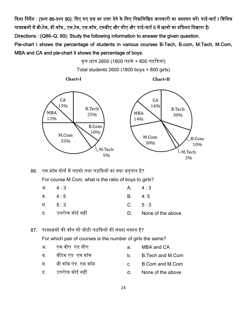विशा निर्देश : (प्रश्न 86-प्रश्न 90): दिए गए प्रश्न का उत्तर देने के लिए निम्नलिखित जानकारी का अध्ययन करें। पाई-चार्ट I विभिन्न पाठ्यक्रमों में बी-टेक, बी.कॉम., एम.टेक, एम.कॉम, एमबीए और सीए और पाई-चार्ट II में छात्रों का प्रतिशत दिखाता है। Directions : (Q86–Q. 90): Study the following information to answer the given question. Pie-chart I shows the percentage of students in various courses B-Tech, B.com, M.Tech, M.Com, MBA and CA and pie-chart II shows the percentage of boys.

कुल छातर् 2600 (1800 लड़के + 800 लड़िकयां)

Total students 2600 (1800 boys + 800 girls)

Chart-I

**Chart-II** 



86. एम.कॉम कोर्स में लड़को तथा लड़कियों का क्या अनुपात है?

For course M.Com, what is the ratio of boys to girls?

| अ. 4:3              | $A \quad 4 \cdot 3$  |
|---------------------|----------------------|
| ब. 4:5              | B. 4:5               |
| स. 5:3              | C. 5:3               |
| द. उपरोक्त कोई नहीं | D. None of the above |

87. पाठ्यक्रमों की कौन सी जोड़ी लड़कियों की संख्या समान है?

For which pair of courses is the number of girls the same?

- अ. एम बीए एंड सीए a. MBA and CA
- ब. बीटेक एंड एम कॉम b. B.Tech and M.Com
- स. बी कॉम एंड एम कॉम c. B.Com and M.Com
- द. उपरोक्त कोई नहीं <u>and the state of the above</u>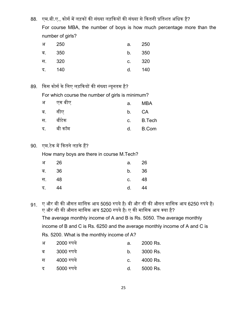88. एम.बी.ए., कोर्स में लड़कों की संख्या लड़कियों की संख्या से कितनी प्रतिशत अधिक है?

For course MBA, the number of boys is how much percentage more than the number of girls?

| अ 250  | a. 250    |
|--------|-----------|
| ब. 350 | 350<br>b. |
| स. 320 | c. 320    |
| द. 140 | 140<br>d. |

89. किस कोर्स के लिए लड़कियों की संख्या न्यूनतम है?

For which course the number of girls is minimum?

|    | अ एमबीए | а.    | MBA       |
|----|---------|-------|-----------|
|    | ब. सीए  | b. CA |           |
| स. | बीटेक   |       | c. B.Tech |
| द. | बी कॉम  | d.    | B.Com     |

90. एम.टेक में कितने लड़के हैं?

How many boys are there in course M.Tech?

| अ 26  |  | a. | -26     |
|-------|--|----|---------|
| ब. 36 |  |    | b. 36   |
| स. 48 |  |    | $c.$ 48 |
| द. 44 |  | d. | 44      |

91. ए और बी की औसत मासिक आय 5050 रुपये है। बी और सी की औसत मासिक आय 6250 रुपये है। ए और सी की औसत मासिक आय 5200 रुपये है। ए की मासिक आय क्या है? The average monthly income of A and B is Rs. 5050. The average monthly income of B and C is Rs. 6250 and the average monthly income of A and C is Rs. 5200. What is the monthly income of A?

| अ | 2000 रुपये | а.             | 2000 Rs. |
|---|------------|----------------|----------|
|   | 3000 रुपये | h.             | 3000 Rs. |
| स | 4000 रुपये | $C_{\rm{max}}$ | 4000 Rs. |
|   | 5000 रुपये | d.             | 5000 Rs. |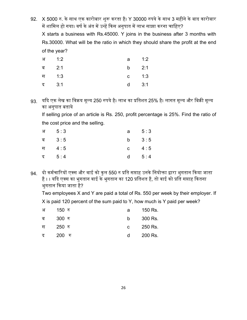92. X 5000 रु. के साथ एक कारोबार शुरू करता ह। Y 30000 रुपय ै े के साथ 3 महीने के बाद कारोबार में शामिल हो गया। वर्ष के अंत में उन्हें किस अनुपात में लाभ साझा करना चाहिए? X starts a business with Rs.45000. Y joins in the business after 3 months with Rs.30000. What will be the ratio in which they should share the profit at the end of the year?

| अ 1:2   |     | a $1:2$ |
|---------|-----|---------|
| ब 2:1   |     | b $2:1$ |
| स 1:3   |     | c $1:3$ |
| द $3:1$ | d l | 3:1     |

93. यदि एक लेख का विक्रय मूल्य 250 रुपये है। लाभ का प्रतिशत 25% है। लागत मूल्य और बिक्री मूल्य का अनुपात बताये

If selling price of an article is Rs. 250, profit percentage is 25%. Find the ratio of the cost price and the selling.

| अ5:3           | $a = 5:3$  |  |
|----------------|------------|--|
| ब 3:5          | $b \t 3:5$ |  |
| स 4:5          | c $4:5$    |  |
| $\sqrt{5}$ : 4 | d $5:4$    |  |

94. दो कर्मचारियों एक्स और वाई को कुल 550 रु प्रति सप्ताह उनके नियोक्ता द्वारा भुगतान किया जाता है । । यदि एक्स का भुगतान वाई के भुगतान का 120 प्रतिशत है, तो वाई को प्रति सप्ताह कितना भुगतान किया जाता है?

Two employees X and Y are paid a total of Rs. 550 per week by their employer. If X is paid 120 percent of the sum paid to Y, how much is Y paid per week?

| अ   | 150 रु | a            | 150 Rs. |
|-----|--------|--------------|---------|
| ब । | 300 रु | b.           | 300 Rs. |
| स   | 250 रु | $\mathbf{c}$ | 250 Rs. |
| ट   | 200 रु | d.           | 200 Rs. |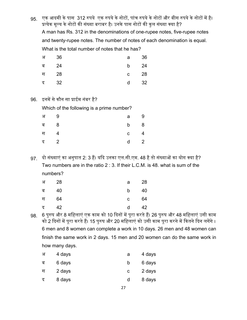95. एक आदमी के पास 312 रुपये एक रुपये के नोटों, पांच रुपये के नोटों और बीस रुपये के नोटों में है। प्रत्येक मूल्य के नोटों की संख्या बराबर है। उनके पास नोटों की कुल संख्या क्या है? A man has Rs. 312 in the denominations of one-rupee notes, five-rupee notes and twenty-rupee notes. The number of notes of each denomination is equal. What is the total number of notes that he has?

| अ 36 |  | a l    | 36  |
|------|--|--------|-----|
| ब 24 |  | b 24   |     |
| स 28 |  | c $28$ |     |
| द 32 |  | d l    | -32 |

96. इनमें से कौन सा प्राईम नंबर है?

Which of the following is a prime number?

| अ   | - 9 | a        | -9         |
|-----|-----|----------|------------|
| ब 8 |     | b        | $_{\rm 8}$ |
| स 4 |     | $c \t 4$ |            |
| द 2 |     | $d = 2$  |            |

97 दो संख्याएं का अनुपात 2: 3 हैं। यदि उनका एल.सी.एम. 48 है तो संख्याओं का योग क्या है? Two numbers are in the ratio 2 : 3. If their L.C.M. is 48. what is sum of the numbers?

| अ 28   |  |                                                                                                                                                                                                                                | a 28 |
|--------|--|--------------------------------------------------------------------------------------------------------------------------------------------------------------------------------------------------------------------------------|------|
| ब 40   |  | b and the set of the set of the set of the set of the set of the set of the set of the set of the set of the set of the set of the set of the set of the set of the set of the set of the set of the set of the set of the set | -40  |
| स 64   |  | $\mathbf{C}$ and $\mathbf{C}$                                                                                                                                                                                                  | -64  |
| द $42$ |  | d l                                                                                                                                                                                                                            | 42   |

98. 6 पुरुष और 8 महिलाएं एक काम को 10 दिनों में पूरा करते हैं। 26 पुरुष और 48 महिलाएं उसी काम को 2 दिनों में पूरा करते हैं। 15 पुरुष और 20 महिलाएं को उसी काम पूरा करने में कितने दिन लगेंगे । 6 men and 8 women can complete a work in 10 days. 26 men and 48 women can finish the same work in 2 days. 15 men and 20 women can do the same work in how many days.

| अ | 4 days | a | 4 days |
|---|--------|---|--------|
| ब | 6 days | b | 6 days |
| स | 2 days | C | 2 days |
| ਟ | 8 days | d | 8 days |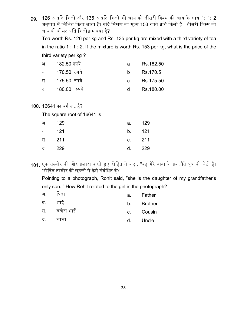99. 126 रु पर्ित िकलो और 135 रु पर्ित िकलो की चाय को तीसरी िकस्म की चाय के साथ 1: 1: 2 अनुपात में मिश्रित किया जाता है। यदि मिश्रण का मूल्य 153 रुपये प्रति किलो है। तीसरी किस्म की चाय की कीमत प्रति किलोग्राम क्या है?

Tea worth Rs. 126 per kg and Rs. 135 per kg are mixed with a third variety of tea in the ratio 1 : 1 : 2. If the mixture is worth Rs. 153 per kg, what is the price of the third variety per kg ?

| अ   | 182.50 रुपये |              | Rs.182.50 |
|-----|--------------|--------------|-----------|
|     | 170.50 रुपये | h.           | Rs.170.5  |
| स   | 175.50 रुपये | $\mathsf{C}$ | Rs.175.50 |
| ट । | 180.00 रुपये | d.           | Rs.180.00 |

100. 16641 का वगर् रूट ह? ै

The square root of 16641 is

| अ 129 | a. 129   |  |
|-------|----------|--|
| ब 121 | b. 121   |  |
| स 211 | c. $211$ |  |
| द 229 | d. 229   |  |

101. एक तस्वीर की ओर इशारा करते हुए रोहित ने कहा, "वह मेरे दादा के इकलौते पुत्र की बेटी है। "रोहित तस्वीर की लड़की से कैसे संबंधित है?

Pointing to a photograph, Rohit said, "she is the daughter of my grandfather's only son. " How Rohit related to the girl in the photograph?

| <b>अ</b> | पिता         | а. – | Father     |
|----------|--------------|------|------------|
|          | ब. भाई       |      | b. Brother |
|          | स. चचेरा भाई |      | c. Cousin  |
| द.       | चाचा         | d.   | Uncle      |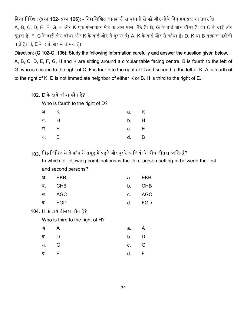#### दिशा निर्देश : (प्रश्न 102- प्रश्न 106): - निम्नलिखित जानकारी सावधानी से पढ़ें और नीचे दिए गए प्रश्न का उत्तर दें।

A, B, C, D, E, F, G, H और K एक गोलाकार मेज के आस पास बैठे हैं। B, G के बाईं ओर चौथा है, जो C के दाईं ओर दूसरा है। F, C के दाईं ओर चौथा और K के बाईं ओर से दूसरा है। A, K के दाईं ओर से चौथा है। D, K या B तत्काल पड़ोसी नहीं है। H, E के दाईं ओर से तीसरा है।

Direction: (Q.102-Q. 106): Study the following information carefully and answer the question given below.

A, B, C, D, E, F, G, H and K are sitting around a circular table facing centre. B is fourth to the left of G, who is second to the right of C. F is fourth to the right of C and second to the left of K. A is fourth of to the right of K. D is not immediate neighbor of either K or B. H is third to the right of E.

#### 102. D के दायें चौथा कौन है?

Who is fourth to the right of D?

| अ. K | a. K |   |
|------|------|---|
| ब. H | b. H |   |
| स. E | c. E |   |
| द. B | d.   | B |

103. निम्नलिखित में से कौन से समूह में पहले और दूसरे व्यक्तियों के बीच तीसरा व्यक्ति है?

In which of following combinations is the third person setting in between the first and second persons?

| अ. EKB | a. EKB |        |
|--------|--------|--------|
| ब. CHB | b. CHB |        |
| स. AGC |        | c. AGC |
| द. FGD | d. FGD |        |

104. H के दायें तीसरा कौन है?

Who is third to the right of H?

| अ. <b>A</b> | a. A |  |
|-------------|------|--|
| ब. D        | b. D |  |
| स. G        | c. G |  |
| द. F        | d. F |  |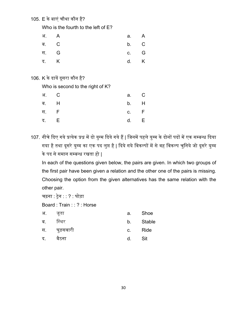105. E के बाएं चौथा कौन ह? ै

Who is the fourth to the left of E?

| अ. <b>A</b> | a. A |  |
|-------------|------|--|
| ब. C        | b. C |  |
| स. G        | c. G |  |
| द. K        | d. K |  |

106. K के दायें दूसरा कौन है?

Who is second to the right of K?

| अ. C |  | a. C |  |
|------|--|------|--|
| ब. H |  | b. H |  |
| स. F |  | c. F |  |
| द. E |  | d. E |  |

107. नीचे दिए गये प्रत्येक प्रश्न में दो युग्म दिये गये हैं | जिनमें पहले युग्म के दोनों पदों में एक सम्बन्ध दिया गया है तथा दूसरे युग्म का एक पद लुप्त है | दिये गये विकल्पों में से वह विकल्प चुनिये जो दूसरे युग्म के पद से समान सम्बन्ध रखता हो |

In each of the questions given below, the pairs are given. In which two groups of the first pair have been given a relation and the other one of the pairs is missing. Choosing the option from the given alternatives has the same relation with the other pair.

चढ़ना : ट्रेन : : ? : घोड़ा

Board : Train : : ? : Horse

| अ. जुता |  |  |  | a. Shoe |
|---------|--|--|--|---------|
|---------|--|--|--|---------|

- ब. िस्थर b. Stable
- स. घुड़सवारी c. Ride
- द. बैठना d. Sit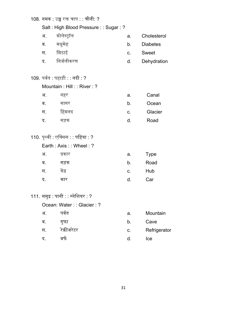| 108. नमक : उच्च रक्त चाप : : चीनी: ? |                                     |    |                 |  |  |
|--------------------------------------|-------------------------------------|----|-----------------|--|--|
|                                      | Salt: High Blood Pressure:: Sugar:? |    |                 |  |  |
| अ.                                   | कोलेस्ट्रॉल                         | a. | Cholesterol     |  |  |
| ब.                                   | मधुमेह                              | b. | <b>Diabetes</b> |  |  |
|                                      | स. मिठाई                            | C. | Sweet           |  |  |
| <b>द</b> .                           | निर्जलीकरण                          | d. | Dehydration     |  |  |
|                                      |                                     |    |                 |  |  |
|                                      | 109. पर्वत : पहाड़ी : : नदी : ?     |    |                 |  |  |
|                                      | Mountain: Hill:: River: ?           |    |                 |  |  |
| अ.                                   | नहर                                 | a. | Canal           |  |  |
| ब.                                   | सागर                                | b. | Ocean           |  |  |
| स.                                   | हिमनद                               | C. | Glacier         |  |  |
| द.                                   | सड़क                                | d. | Road            |  |  |
|                                      |                                     |    |                 |  |  |
|                                      | 110. पृथ्वी : एक्सिस : : पहिया : ?  |    |                 |  |  |
|                                      | Earth: Axis:: Wheel: ?              |    |                 |  |  |
| अ.                                   | प्रकार                              | a. | <b>Type</b>     |  |  |
| ब.                                   | सड़क                                | b. | Road            |  |  |
| स.                                   | केंद्र                              | C. | Hub             |  |  |
| द.                                   | कार                                 | d. | Car             |  |  |
|                                      |                                     |    |                 |  |  |
|                                      | 111. समुद्र : पानी : : ग्लेशियर : ? |    |                 |  |  |
|                                      | Ocean: Water:: Glacier: ?           |    |                 |  |  |
| अ.                                   | पर्वत                               | a. | Mountain        |  |  |
| ब.                                   | गुफा                                | b. | Cave            |  |  |
| स.                                   | रेफ्रीजरेटर                         | c. | Refrigerator    |  |  |
| द.                                   | बर्फ                                | d. | Ice             |  |  |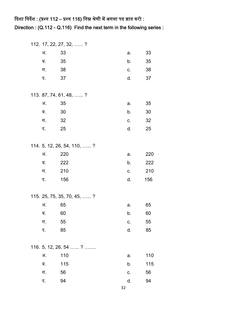दिशा निर्देश : (प्रश्न 112 – प्रश्न 116) निम्न श्रेणी में अगला पद ज्ञात करो : Direction : (Q.112 - Q.116) Find the next term in the following series :

|    | 112. 17, 22, 27, 32, ?     |    |     |
|----|----------------------------|----|-----|
| अ. | 33                         | a. | 33  |
| ब. | 35                         | b. | 35  |
| स. | 38                         | C. | 38  |
| द. | 37                         | d. | 37  |
|    |                            |    |     |
|    | 113. 87, 74, 61, 48, ?     |    |     |
| अ. | 35                         | a. | 35  |
| ब. | 30                         | b. | 30  |
| स. | 32                         | C. | 32  |
| द. | 25                         | d. | 25  |
|    |                            |    |     |
|    | 114. 5, 12, 26, 54, 110, ? |    |     |
| अ. | 220                        | a. | 220 |
| ब. | 222                        | b. | 222 |
| स. | 210                        | C. | 210 |
| द. | 156                        | d. | 156 |
|    |                            |    |     |
|    | 115. 25, 75, 35, 70, 45, ? |    |     |
| अ. | 65                         | a. | 65  |
| ब. | 60                         | b. | 60  |
| स. | 55                         | с. | 55  |
| द. | 85                         | d. | 85  |
|    |                            |    |     |
|    | 116. 5, 12, 26, 54 ?       |    |     |
| अ. | 110                        | a. | 110 |
| ब. | 115                        | b. | 115 |
| स. | 56                         | С. | 56  |
| द. | 94                         | d. | 94  |

32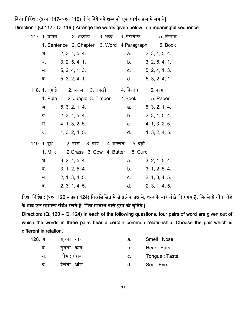#### दिशा निर्देश : (प्रश्न 117- प्रश्न 119) नीचे दिये गये शब्द को एक सार्थक क्रम में जमाये|

#### Direction : (Q.117 - Q. 119 ) Arrange the words given below in a meaningful sequence.

|             | 117. 1. वाक्य           2. अध्याय                                        | 3. शब्द      4. पेराग्राफ | 5. किताब       |
|-------------|--------------------------------------------------------------------------|---------------------------|----------------|
|             | 1. Sentence 2. Chapter 3. Word 4. Paragraph                              |                           | 5. Book        |
| अ.          | 2, 3, 1, 5, 4.                                                           | a.                        | 2, 3, 1, 5, 4. |
| ब.          | 3, 2, 5, 4, 1.                                                           | b.                        | 3, 2, 5, 4, 1. |
| स.          | 5, 2, 4, 1, 3.                                                           | C.                        | 5, 2, 4, 1, 3. |
| द.          | 5, 3, 2, 4, 1.                                                           | d                         | 5, 3, 2, 4, 1. |
|             | 118. 1. लुगदी       2. जंगल     3. लकड़ी         4. किताब        5. कागज |                           |                |
|             | 1. Pulp 2. Jungle 3. Timber 4. Book                                      |                           | 5. Paper       |
| अ.          | 5, 3, 2, 1, 4.                                                           | a.                        | 5, 3, 2, 1, 4. |
| ब.          | 2, 3, 1, 5, 4.                                                           | b.                        | 2, 3, 1, 5, 4. |
| स.          | 4, 1, 3, 2, 5.                                                           | C.                        | 4, 1, 3, 2, 5. |
| द.          | 1, 3, 2, 4, 5.                                                           | d.                        | 1, 3, 2, 4, 5. |
| 119. 1. दूध | <u>2. घास     3. गाय      4. मक्खन      5. दही</u>                       |                           |                |
| 1. Milk     | 2. Grass 3. Cow 4. Butter 5. Curd                                        |                           |                |
| अ.          | 3, 2, 1, 5, 4.                                                           | a. L                      | 3, 2, 1, 5, 4. |
| ब.          | 3, 1, 2, 5, 4.                                                           | b.                        | 3, 1, 2, 5, 4. |
| स.          | 2, 1, 3, 4, 5.                                                           | C.                        | 2, 1, 3, 4, 5. |
| द.          | 2, 3, 1, 4, 5.                                                           | d.                        | 2, 3, 1, 4, 5. |

दिशा निर्देश : (प्रश्न 120 – प्रश्न 124) निम्नलिखित में से प्रत्येक प्रश्न में, शब्द के चार जोड़े दिए गए हैं, जिनमें से तीन जोड़े के शब्द एक सामान्य संबंध रखते हैं। भिन्न सम्बन्ध वाले युग्म को चुनिये |

Direction: (Q. 120 – Q. 124) In each of the following questions, four pairs of word are given out of which the words in three pairs bear a certain common relationship. Choose the pair which is different in relation.

| 120. अ. | संघना : नाक | а. | Smell: Nose   |
|---------|-------------|----|---------------|
| ब.      | सुनना : कान | b. | Hear: Ears    |
| स.      | जीभ : स्वाद | C. | Tongue: Taste |
| द.      | देखना : आंख | d. | See : Eye     |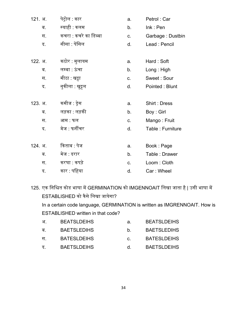| 121. अ. |    | पेट्रोल : कार         | a.          | Petrol: Car      |
|---------|----|-----------------------|-------------|------------------|
|         | ब. | स्याही : कलम          | b.          | Ink: Pen         |
|         | स. | कचरा : कचरे का डिब्बा | C.          | Garbage: Dustbin |
|         | द. | सीसा : पेंसिल         | d.          | Lead: Pencil     |
|         |    |                       |             |                  |
| 122. अ. |    | कठोर : मुलायम         | a.          | Hard: Soft       |
|         | ब. | लम्बा : ऊंचा          | b.          | Long: High       |
|         | स. | मीठा : खट्टा          | c.          | Sweet: Sour      |
|         | द. | नुकीला : खुट्टल       | d.          | Pointed: Blunt   |
|         |    |                       |             |                  |
| 123. अ. |    | कमीज : ड्रेस          | a.          | Shirt: Dress     |
|         | ब. | लड़का : लड़की         | b.          | Boy: Girl        |
|         | स. | आम : फल               | C.          | Mango: Fruit     |
|         | द. | मेज : फर्नीचर         | d.          | Table: Furniture |
|         |    |                       |             |                  |
| 124. अ. |    | किताब : पेज           | a.          | Book: Page       |
|         | ब. | मेज : दरार            | $b_{\cdot}$ | Table: Drawer    |
|         | स. | करघा : कपड़े          | C.          | Loom: Cloth      |
|         | द. | कार : पहिया           | d.          | Car: Wheel       |

125. एक निश्चित कोड भाषा में GERMINATION को IMGENNOAIT लिखा जाता है | उसी भाषा में ESTABLISHED को कैसे िलखा जायगा? े

In a certain code language, GERMINATION is written as IMGRENNOAIT. How is ESTABLISHED written in that code?

| <b>BEATSLDEIHS</b> | <b>BEATSLDEIHS</b> |
|--------------------|--------------------|
|                    |                    |

- 
- स. BATESLDEIHS c. BATESLDEIHS
- 
- 
- ब. BAETSLEDIHS b. BAETSLEDIHS
	-
- द. BAETSLDEIHS d. BAETSLDEIHS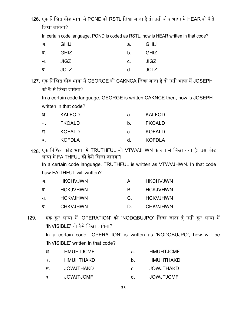126. एक निश्चित कोड भाषा में POND को RSTL लिखा जाता है तो उसी कोड भाषा में HEAR को कैसे िलखा जायेगा?

In certain code language, POND is coded as RSTL, how is HEAR written in that code?

|      | अ. GHIJ     | а.          | GHIJ        |
|------|-------------|-------------|-------------|
| ब.   | <b>GHIZ</b> | b.          | <b>GHIZ</b> |
| स. - | JIGZ        | $C_{\rm L}$ | JIGZ        |
| द.   | <b>JCLZ</b> | $d_{\cdot}$ | JCLZ        |

127. एक निश्चित कोड भाषा में GEORGE को CAKNCA लिखा जाता है तो उसी भाषा में JOSEPH को कै से िलखा जायेगा?

In a certain code language, GEORGE is written CAKNCE then, how is JOSEPH written in that code?

| अ.  | <b>KALFOD</b> | а. | <b>KALFOD</b> |
|-----|---------------|----|---------------|
| ब ज | <b>FKOALD</b> | b. | <b>FKOALD</b> |
| स   | <b>KOFALD</b> | C. | <b>KOFALD</b> |
| ट   | <b>KOFDLA</b> | d. | <b>KOFDLA</b> |

128. एक निश्चित कोड भाषा में TRUTHFUL को VTWVJHWN के रूप में लिखा गया है। उस कोड भाषा में FAITHFUL को कैसे लिखा जाएगा?

In a certain code language. TRUTHFUL is written as VTWVJHWN. In that code haw FAITHFUL will written?

| अ.       | <b>HKCHVJWN</b> | $\mathsf{A}$ | <b>HKCHVJWN</b> |
|----------|-----------------|--------------|-----------------|
| <u>ਕ</u> | <b>HCKJVHWN</b> | $\mathsf{B}$ | <b>HCKJVHWN</b> |
| स        | <b>HCKVJHWN</b> |              | <b>HCKVJHWN</b> |
| द.       | <b>CHKVJHWN</b> |              | <b>CHKVJHWN</b> |

129. एक कूट भाषा में 'OPERATION' को 'NODQBUJPO' लिखा जाता है उसी कूट भाषा में 'INVISIBLE' को कैसे िलखा जायेगा?

In a certain code, 'OPERATION' is written as 'NODQBUJPO', how will be 'INVISIBLE' written in that code?

- अ. HMUHTJCMF a. HMUHTJCMF
- ब. HMUHTHAKD b. HMUHTHAKD
- स. JOWJTHAKD c. JOWJTHAKD
- द JOWJTJCMF d. JOWJTJCMF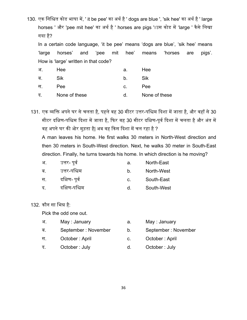130. एक निश्चित कोड भाषा में, ' it be pee' का अर्थ है ' dogs are blue ', 'sik hee' का अर्थ है ' large horses ' और 'pee mit hee' का अर्थ है ' horses are pigs '।उस कोड में 'large ' कैसे लिखा गया है?

In a certain code language, 'it be pee' means 'dogs are blue', 'sik hee' means 'large horses' and 'pee mit hee' means 'horses are pigs'. How is 'large' written in that code?

| अ. | Hee           | а.          | <b>Hee</b>    |
|----|---------------|-------------|---------------|
| ब. | Sik           | $b_{\cdot}$ | <b>Sik</b>    |
| स. | Pee           | $C_{\cdot}$ | Pee           |
| द. | None of these | d.          | None of these |

131. एक व्यक्ति अपने घर से चलता है, पहले वह 30 मीटर उत्तर-पश्चिम दिशा में जाता है, और वहाँ से 30 मीटर दक्षिण-पश्चिम दिशा में जाता है, फिर वह 30 मीटर दक्षिण-पूर्व दिशा में चलता है और अंत में वह अपने घर की ओर मुड़ता है| अब वह किस दिशा में चल रहा है ?

A man leaves his home. He first walks 30 meters in North-West direction and then 30 meters in South-West direction. Next, he walks 30 meter in South-East direction. Finally, he turns towards his home. In which direction is he moving?

| अ. | उत्तर- पूर्व  | а.          | North-East |
|----|---------------|-------------|------------|
| ब. | उत्तर-पश्चिम  | h.          | North-West |
| स. | दक्षिण- पूर्व | $C_{\cdot}$ | South-East |
| द. | दक्षिण-पश्चिम | d.          | South-West |

132. कौन सा भिन्न है:

Pick the odd one out.

- अ. May : January a. May : January
- 
- स. October : April c. October : April
- द. October : July d. October : July
- 
- ब. September : November b. September : November
	-
	-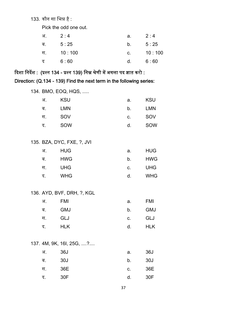133. कौन सा भिन्न है :

| Pick the odd one out. |        |                |        |  |  |
|-----------------------|--------|----------------|--------|--|--|
| अ.                    | 2:4    | а.             | 2:4    |  |  |
| ब.                    | 5:25   | $b_{-}$        | 5:25   |  |  |
| स.                    | 10:100 | $\mathbf{C}$ . | 10:100 |  |  |
| ਟ                     | 6:60   | d.             | 6.60   |  |  |

दिशा निर्देश : (प्रश्न 134 - प्रश्न 139) निम्न श्रेणी में अगला पद ज्ञात करो :

Direction: (Q.134 - 139) Find the next term in the following series:

134. BMO, EOQ, HQS, .....

| अ. | <b>KSU</b>                 | a. | <b>KSU</b> |
|----|----------------------------|----|------------|
| ब. | <b>LMN</b>                 | b. | <b>LMN</b> |
| स. | SOV                        | C. | SOV        |
| द. | SOW                        | d. | SOW        |
|    |                            |    |            |
|    | 135. BZA, DYC, FXE, ?, JVI |    |            |
| अ. | <b>HUG</b>                 | a. | <b>HUG</b> |
| ब. | <b>HWG</b>                 | b. | <b>HWG</b> |
| स. | <b>UHG</b>                 | C. | <b>UHG</b> |
| द. | <b>WHG</b>                 | d. | <b>WHG</b> |
|    |                            |    |            |
|    | 136. AYD, BVF, DRH, ?, KGL |    |            |
| अ. | <b>FMI</b>                 | a. | <b>FMI</b> |
| ब. | <b>GMJ</b>                 | b. | <b>GMJ</b> |
| स. | GLJ                        | C. | GLJ        |
| द. | <b>HLK</b>                 | d. | <b>HLK</b> |
|    |                            |    |            |

137. 4M, 9K, 16I, 25G, ....?....

| अ   | 36J | a. | 36J                |
|-----|-----|----|--------------------|
| ब । | 30J | b. | 30J                |
| स.  | 36E |    | 36E<br>$C_{\rm L}$ |
| द.  | 30F | d. | 30F                |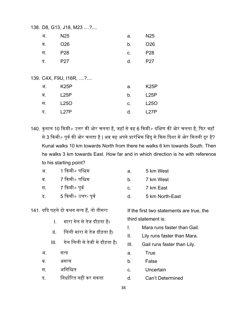138. D8, G13, J18, M23 ....?....

| अ. | N <sub>25</sub> | а.          | N <sub>25</sub> |
|----|-----------------|-------------|-----------------|
| ब. | O26             | b.          | O <sub>26</sub> |
| स. | P28             | $C_{\rm L}$ | P28             |
| द. | P <sub>27</sub> | d.          | P <sub>27</sub> |

139. C4X, F9U, I16R, ....?....

| अ.   | K25P  | а.          | K25P  |
|------|-------|-------------|-------|
| ब.   | L25P  | b.          | L25P  |
| स. - | L25O  | $C_{\rm L}$ | L25O  |
| द.   | 1.27P | d.          | 1.27P |

140. कुनाल 10 किमी० उत्तर की ओर चलता है, जहाँ से वह 6 किमी० दक्षिण की ओर चलता है, फिर वहाँ से 3 किमी० पूर्व की ओर चलता है | अब वह अपने प्रारंभिक बिंदु से किस दिशा में ओर कितनी दूर है? Kunal walks 10 km towards North from there he walks 6 km towards South. Then he walks 3 km towards East. How far and in which direction is he with reference to his starting point?

| अ. |  | 1 किमी० पश्चिम |  |
|----|--|----------------|--|
|    |  |                |  |

- ब. 7 िकमी० पि᳟म b. 7 km West
- स. 7 िकमी० पूव c. 7 km East र्
- द. 5 िकमी० उᱫर- पूवर् d. 5 km North-East

141. यदि पहले दो कथन सत्य हैं, तो तीसरा

- I. मारा गेल से तेज दौड़ता है।
- II. िलली मारा से तेज दौड़ता ह। ै
- III. गेल िलली से तेजी से दौड़ता ह। ै
- 
- 
- 
- द. िनधार्िरत नहᱭ कर सकता d. Can't Determined
- a. 5 km West
- 
- 
- 

If the first two statements are true, the third statement is:

- I. Mara runs faster than Gail.
- II. Lily runs faster than Mara.
- III. Gail runs faster than Lily.
- अ. सत्य a. True
- ब. असत्य b. False
	- स. अनिश्चित c. Uncertain
		-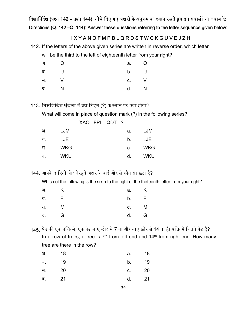दिशानिर्देश (प्रश्न 142 – प्रश्न 144): नीचे दिए गए अक्षरों के अनुक्रम का ध्यान रखते हुए इन सवालों का जवाब दें: Directions (Q. 142 –Q. 144): Answer these questions referring to the letter sequence given below:

#### I X Y A N O F M P B L Q R D S T W C K G U V E J Z H

142. If the letters of the above given series are written in reverse order, which letter will be the third to the left of eighteenth letter from your right?

| अ. O | a. O   |  |
|------|--------|--|
| ब. U | b. U   |  |
| स. V | $c.$ V |  |
| द. N | d. N   |  |

143. निम्नलिखित श्रृंखला में प्रश्न चिह्न (?) के स्थान पर क्या होगा?

What will come in place of question mark (?) in the following series?

|    |            |  | XAO FPL QDT ? |         |            |
|----|------------|--|---------------|---------|------------|
| अ. | LJM        |  |               | а.      | LJM        |
| ब. | LJE.       |  |               | b.      | LJE.       |
| स. | <b>WKG</b> |  |               | $C_{1}$ | <b>WKG</b> |
| द. | <b>WKU</b> |  |               | d.      | WKU        |

144. आपके दाहिनी ओर तेरहवें अक्षर के दाईं ओर से कौन सा छठा है?

Which of the following is the sixth to the right of the thirteenth letter from your right?

| अ. K | a. K |  |
|------|------|--|
| ब. F | b. F |  |
| स. M | c. M |  |
| द. G | d. G |  |

145. पेड़ की एक पंक्ति में, एक पेड़ बाएं छोर से 7 वां और दाएं छोर से 14 वां है। पंक्ति में कितने पेड़ हैं? In a row of trees, a tree is  $7<sup>th</sup>$  from left end and  $14<sup>th</sup>$  from right end. How many tree are there in the row?

| अ. 18 | a.   | 18      |
|-------|------|---------|
| ब. 19 |      | b. 19   |
| स. 20 |      | c. $20$ |
| द. 21 | d. l | 21      |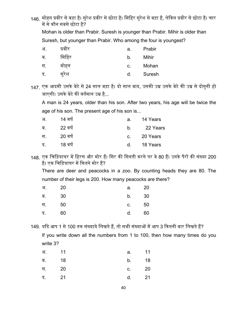146. मोहन प्रबीर से बड़ा है। सुरेश प्रबीर से छोटा है। मिहिर सुरेश से बड़ा है, लेकिन प्रबीर से छोटा है। चार में से कौन सबसे छोटा है?

Mohan is older than Prabir. Suresh is younger than Prabir. Mihir is older than Suresh, but younger than Prabir. Who among the four is youngest?

| अ. | प्रबीर | а.          | Prabir |
|----|--------|-------------|--------|
| ब. | मिहिर  | $b_{-}$     | Mihir  |
| स. | मोहन   | $C_{\cdot}$ | Mohan  |
| द. | सुरेश  | d.          | Suresh |

147. एक आदमी उसके बेटे से 24 साल बड़ा है। दो साल बाद, उसकी उम्र उसके बेटे की उम्र से दोगुनी हो जाएगी। उसके बेटे की वर्तमान उम्र है...

A man is 24 years, older than his son. After two years, his age will be twice the age of his son. The present age of his son is...

| अ. | 14 वर्ष | а. | 14 Years    |
|----|---------|----|-------------|
| ਕ  | 22 वर्ष | b. | 22 Years    |
| स  | 20 वर्ष |    | c. 20 Years |
| ट  | 18 वर्ष | d. | 18 Years    |

148. एक चिड़ियाघर में हिरण और मोर हैं। सिर की गिनती करने पर वे 80 हैं। उनके पैरों की संख्या 200 है। एक चिड़ियाघर में कितने मोर हैं?

There are deer and peacocks in a zoo. By counting heads they are 80. The number of their legs is 200. How many peacocks are there?

| अ. 20      |    | а. – | 20  |
|------------|----|------|-----|
| ब. 30      |    | b.   | -30 |
| स. 50      |    | C.   | 50  |
| <b>द</b> . | 60 | d. l | 60  |

149. यदि आप 1 से 100 तक संख्याये लिखते हैं, तो सभी संख्याओं में आप 3 कितनी बार लिखते हैं? If you write down all the numbers from 1 to 100, then how many times do you write 3?

| अ. 11 | a. 11   |    |
|-------|---------|----|
| ब. 18 | b. 18   |    |
| स. 20 | c. $20$ |    |
| द. 21 | d. l    | 21 |
|       |         |    |